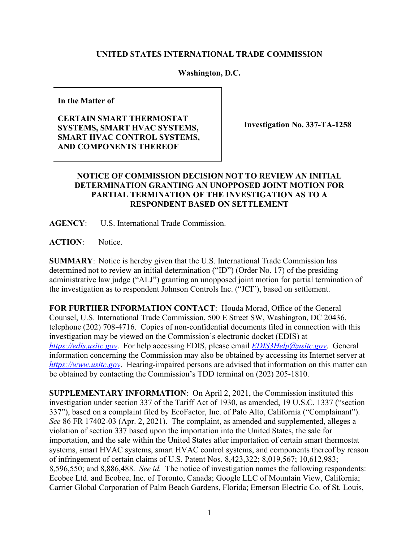## **UNITED STATES INTERNATIONAL TRADE COMMISSION**

## **Washington, D.C.**

**In the Matter of**

**CERTAIN SMART THERMOSTAT SYSTEMS, SMART HVAC SYSTEMS, SMART HVAC CONTROL SYSTEMS, AND COMPONENTS THEREOF**

**Investigation No. 337-TA-1258**

## **NOTICE OF COMMISSION DECISION NOT TO REVIEW AN INITIAL DETERMINATION GRANTING AN UNOPPOSED JOINT MOTION FOR PARTIAL TERMINATION OF THE INVESTIGATION AS TO A RESPONDENT BASED ON SETTLEMENT**

**AGENCY**: U.S. International Trade Commission.

**ACTION**: Notice.

**SUMMARY**: Notice is hereby given that the U.S. International Trade Commission has determined not to review an initial determination ("ID") (Order No. 17) of the presiding administrative law judge ("ALJ") granting an unopposed joint motion for partial termination of the investigation as to respondent Johnson Controls Inc. ("JCI"), based on settlement.

**FOR FURTHER INFORMATION CONTACT**: Houda Morad, Office of the General Counsel, U.S. International Trade Commission, 500 E Street SW, Washington, DC 20436, telephone (202) 708-4716. Copies of non-confidential documents filed in connection with this investigation may be viewed on the Commission's electronic docket (EDIS) at *[https://edis.usitc.gov](https://edis.usitc.gov/)*. For help accessing EDIS, please email *[EDIS3Help@usitc.gov](mailto:EDIS3Help@usitc.gov)*. General information concerning the Commission may also be obtained by accessing its Internet server at *[https://www.usitc.gov](https://www.usitc.gov/)*. Hearing-impaired persons are advised that information on this matter can be obtained by contacting the Commission's TDD terminal on (202) 205-1810.

**SUPPLEMENTARY INFORMATION**: On April 2, 2021, the Commission instituted this investigation under section 337 of the Tariff Act of 1930, as amended, 19 U.S.C. 1337 ("section 337"), based on a complaint filed by EcoFactor, Inc. of Palo Alto, California ("Complainant"). *See* 86 FR 17402-03 (Apr. 2, 2021). The complaint, as amended and supplemented, alleges a violation of section 337 based upon the importation into the United States, the sale for importation, and the sale within the United States after importation of certain smart thermostat systems, smart HVAC systems, smart HVAC control systems, and components thereof by reason of infringement of certain claims of U.S. Patent Nos. 8,423,322; 8,019,567; 10,612,983; 8,596,550; and 8,886,488. *See id.* The notice of investigation names the following respondents: Ecobee Ltd. and Ecobee, Inc. of Toronto, Canada; Google LLC of Mountain View, California; Carrier Global Corporation of Palm Beach Gardens, Florida; Emerson Electric Co. of St. Louis,